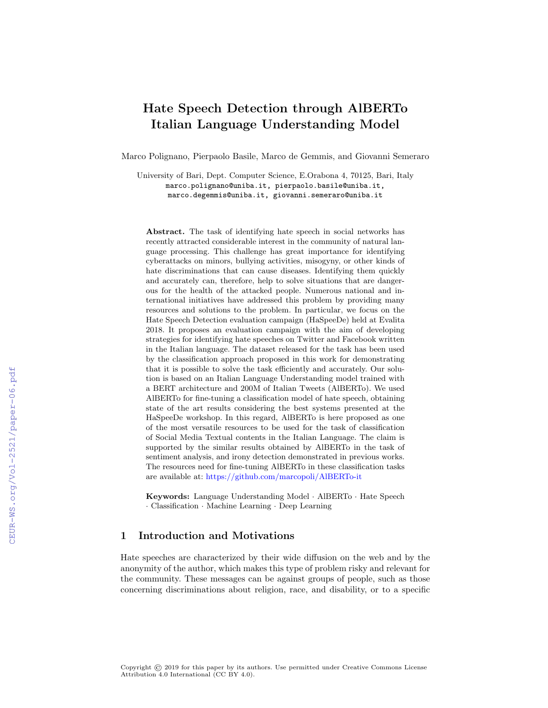# Hate Speech Detection through AlBERTo Italian Language Understanding Model

Marco Polignano, Pierpaolo Basile, Marco de Gemmis, and Giovanni Semeraro

University of Bari, Dept. Computer Science, E.Orabona 4, 70125, Bari, Italy marco.polignano@uniba.it, pierpaolo.basile@uniba.it, marco.degemmis@uniba.it, giovanni.semeraro@uniba.it

Abstract. The task of identifying hate speech in social networks has recently attracted considerable interest in the community of natural language processing. This challenge has great importance for identifying cyberattacks on minors, bullying activities, misogyny, or other kinds of hate discriminations that can cause diseases. Identifying them quickly and accurately can, therefore, help to solve situations that are dangerous for the health of the attacked people. Numerous national and international initiatives have addressed this problem by providing many resources and solutions to the problem. In particular, we focus on the Hate Speech Detection evaluation campaign (HaSpeeDe) held at Evalita 2018. It proposes an evaluation campaign with the aim of developing strategies for identifying hate speeches on Twitter and Facebook written in the Italian language. The dataset released for the task has been used by the classification approach proposed in this work for demonstrating that it is possible to solve the task efficiently and accurately. Our solution is based on an Italian Language Understanding model trained with a BERT architecture and 200M of Italian Tweets (AlBERTo). We used AlBERTo for fine-tuning a classification model of hate speech, obtaining state of the art results considering the best systems presented at the HaSpeeDe workshop. In this regard, AlBERTo is here proposed as one of the most versatile resources to be used for the task of classification of Social Media Textual contents in the Italian Language. The claim is supported by the similar results obtained by AlBERTo in the task of sentiment analysis, and irony detection demonstrated in previous works. The resources need for fine-tuning AlBERTo in these classification tasks are available at: <https://github.com/marcopoli/AlBERTo-it>

Keywords: Language Understanding Model · AlBERTo · Hate Speech · Classification · Machine Learning · Deep Learning

# 1 Introduction and Motivations

Hate speeches are characterized by their wide diffusion on the web and by the anonymity of the author, which makes this type of problem risky and relevant for the community. These messages can be against groups of people, such as those concerning discriminations about religion, race, and disability, or to a specific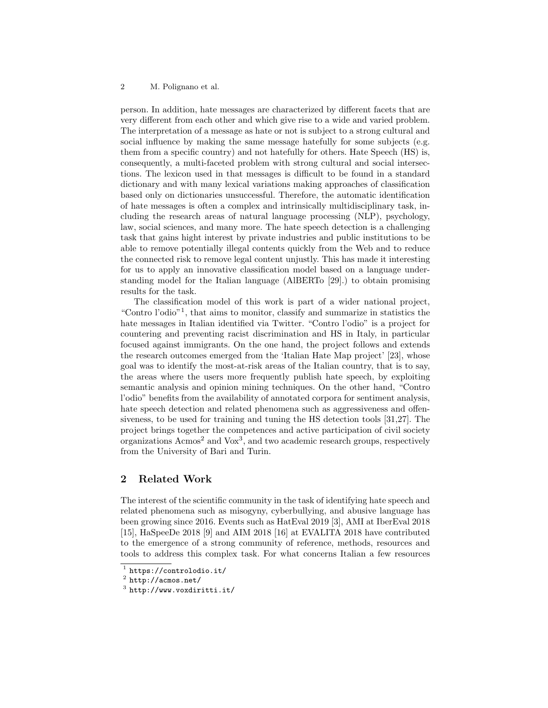person. In addition, hate messages are characterized by different facets that are very different from each other and which give rise to a wide and varied problem. The interpretation of a message as hate or not is subject to a strong cultural and social influence by making the same message hatefully for some subjects (e.g. them from a specific country) and not hatefully for others. Hate Speech (HS) is, consequently, a multi-faceted problem with strong cultural and social intersections. The lexicon used in that messages is difficult to be found in a standard dictionary and with many lexical variations making approaches of classification based only on dictionaries unsuccessful. Therefore, the automatic identification of hate messages is often a complex and intrinsically multidisciplinary task, including the research areas of natural language processing (NLP), psychology, law, social sciences, and many more. The hate speech detection is a challenging task that gains hight interest by private industries and public institutions to be able to remove potentially illegal contents quickly from the Web and to reduce the connected risk to remove legal content unjustly. This has made it interesting for us to apply an innovative classification model based on a language understanding model for the Italian language (AlBERTo [\[29\]](#page-12-0).) to obtain promising results for the task.

The classification model of this work is part of a wider national project, "Contro l'odio"[1](#page-1-0) , that aims to monitor, classify and summarize in statistics the hate messages in Italian identified via Twitter. "Contro l'odio" is a project for countering and preventing racist discrimination and HS in Italy, in particular focused against immigrants. On the one hand, the project follows and extends the research outcomes emerged from the 'Italian Hate Map project' [\[23\]](#page-11-0), whose goal was to identify the most-at-risk areas of the Italian country, that is to say, the areas where the users more frequently publish hate speech, by exploiting semantic analysis and opinion mining techniques. On the other hand, "Contro l'odio" benefits from the availability of annotated corpora for sentiment analysis, hate speech detection and related phenomena such as aggressiveness and offensiveness, to be used for training and tuning the HS detection tools [\[31,](#page-12-1)[27\]](#page-12-2). The project brings together the competences and active participation of civil society organizations  $A_{\text{cm}}$  and  $V_{\text{ox}}$ <sup>[3](#page-1-2)</sup>, and two academic research groups, respectively from the University of Bari and Turin.

# 2 Related Work

The interest of the scientific community in the task of identifying hate speech and related phenomena such as misogyny, cyberbullying, and abusive language has been growing since 2016. Events such as HatEval 2019 [\[3\]](#page-10-0), AMI at IberEval 2018 [\[15\]](#page-11-1), HaSpeeDe 2018 [\[9\]](#page-10-1) and AIM 2018 [\[16\]](#page-11-2) at EVALITA 2018 have contributed to the emergence of a strong community of reference, methods, resources and tools to address this complex task. For what concerns Italian a few resources

<span id="page-1-0"></span><sup>1</sup> <https://controlodio.it/>

<span id="page-1-1"></span> $^2$  <http://acmos.net/>

<span id="page-1-2"></span> $3$  <http://www.voxdiritti.it/>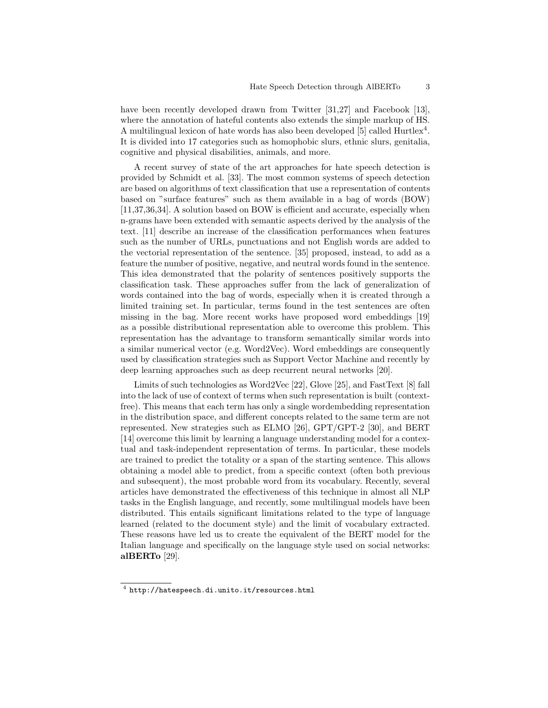have been recently developed drawn from Twitter [\[31](#page-12-1)[,27\]](#page-12-2) and Facebook [\[13\]](#page-11-3), where the annotation of hateful contents also extends the simple markup of HS. A multilingual lexicon of hate words has also been developed  $[5]$  called Hurtlex<sup>[4](#page-2-0)</sup>. It is divided into 17 categories such as homophobic slurs, ethnic slurs, genitalia, cognitive and physical disabilities, animals, and more.

A recent survey of state of the art approaches for hate speech detection is provided by Schmidt et al. [\[33\]](#page-12-3). The most common systems of speech detection are based on algorithms of text classification that use a representation of contents based on "surface features" such as them available in a bag of words (BOW) [\[11](#page-10-3)[,37](#page-12-4)[,36,](#page-12-5)[34\]](#page-12-6). A solution based on BOW is efficient and accurate, especially when n-grams have been extended with semantic aspects derived by the analysis of the text. [\[11\]](#page-10-3) describe an increase of the classification performances when features such as the number of URLs, punctuations and not English words are added to the vectorial representation of the sentence. [\[35\]](#page-12-7) proposed, instead, to add as a feature the number of positive, negative, and neutral words found in the sentence. This idea demonstrated that the polarity of sentences positively supports the classification task. These approaches suffer from the lack of generalization of words contained into the bag of words, especially when it is created through a limited training set. In particular, terms found in the test sentences are often missing in the bag. More recent works have proposed word embeddings [\[19\]](#page-11-4) as a possible distributional representation able to overcome this problem. This representation has the advantage to transform semantically similar words into a similar numerical vector (e.g. Word2Vec). Word embeddings are consequently used by classification strategies such as Support Vector Machine and recently by deep learning approaches such as deep recurrent neural networks [\[20\]](#page-11-5).

Limits of such technologies as Word2Vec [\[22\]](#page-11-6), Glove [\[25\]](#page-11-7), and FastText [\[8\]](#page-10-4) fall into the lack of use of context of terms when such representation is built (contextfree). This means that each term has only a single wordembedding representation in the distribution space, and different concepts related to the same term are not represented. New strategies such as ELMO [\[26\]](#page-12-8), GPT/GPT-2 [\[30\]](#page-12-9), and BERT [\[14\]](#page-11-8) overcome this limit by learning a language understanding model for a contextual and task-independent representation of terms. In particular, these models are trained to predict the totality or a span of the starting sentence. This allows obtaining a model able to predict, from a specific context (often both previous and subsequent), the most probable word from its vocabulary. Recently, several articles have demonstrated the effectiveness of this technique in almost all NLP tasks in the English language, and recently, some multilingual models have been distributed. This entails significant limitations related to the type of language learned (related to the document style) and the limit of vocabulary extracted. These reasons have led us to create the equivalent of the BERT model for the Italian language and specifically on the language style used on social networks: alBERTo [\[29\]](#page-12-0).

<span id="page-2-0"></span> $^4$  <http://hatespeech.di.unito.it/resources.html>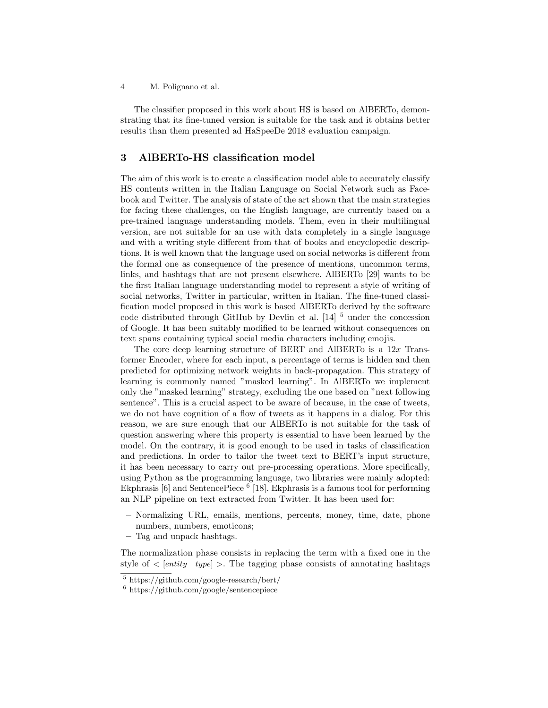The classifier proposed in this work about HS is based on AlBERTo, demonstrating that its fine-tuned version is suitable for the task and it obtains better results than them presented ad HaSpeeDe 2018 evaluation campaign.

# 3 AlBERTo-HS classification model

The aim of this work is to create a classification model able to accurately classify HS contents written in the Italian Language on Social Network such as Facebook and Twitter. The analysis of state of the art shown that the main strategies for facing these challenges, on the English language, are currently based on a pre-trained language understanding models. Them, even in their multilingual version, are not suitable for an use with data completely in a single language and with a writing style different from that of books and encyclopedic descriptions. It is well known that the language used on social networks is different from the formal one as consequence of the presence of mentions, uncommon terms, links, and hashtags that are not present elsewhere. AlBERTo [\[29\]](#page-12-0) wants to be the first Italian language understanding model to represent a style of writing of social networks, Twitter in particular, written in Italian. The fine-tuned classification model proposed in this work is based AlBERTo derived by the software code distributed through GitHub by Devlin et al.  $[14]$ <sup>[5](#page-3-0)</sup> under the concession of Google. It has been suitably modified to be learned without consequences on text spans containing typical social media characters including emojis.

The core deep learning structure of BERT and AlBERTo is a  $12x$  Transformer Encoder, where for each input, a percentage of terms is hidden and then predicted for optimizing network weights in back-propagation. This strategy of learning is commonly named "masked learning". In AlBERTo we implement only the "masked learning" strategy, excluding the one based on "next following sentence". This is a crucial aspect to be aware of because, in the case of tweets, we do not have cognition of a flow of tweets as it happens in a dialog. For this reason, we are sure enough that our AlBERTo is not suitable for the task of question answering where this property is essential to have been learned by the model. On the contrary, it is good enough to be used in tasks of classification and predictions. In order to tailor the tweet text to BERT's input structure, it has been necessary to carry out pre-processing operations. More specifically, using Python as the programming language, two libraries were mainly adopted: Ekphrasis [\[6\]](#page-10-5) and SentencePiece <sup>[6](#page-3-1)</sup> [\[18\]](#page-11-9). Ekphrasis is a famous tool for performing an NLP pipeline on text extracted from Twitter. It has been used for:

- Normalizing URL, emails, mentions, percents, money, time, date, phone numbers, numbers, emoticons;
- Tag and unpack hashtags.

The normalization phase consists in replacing the term with a fixed one in the style of  $\langle$  [entity type]  $\rangle$ . The tagging phase consists of annotating hashtags

<span id="page-3-0"></span><sup>5</sup> <https://github.com/google-research/bert/>

<span id="page-3-1"></span> $6 \text{ https://github.com/google/sentence}$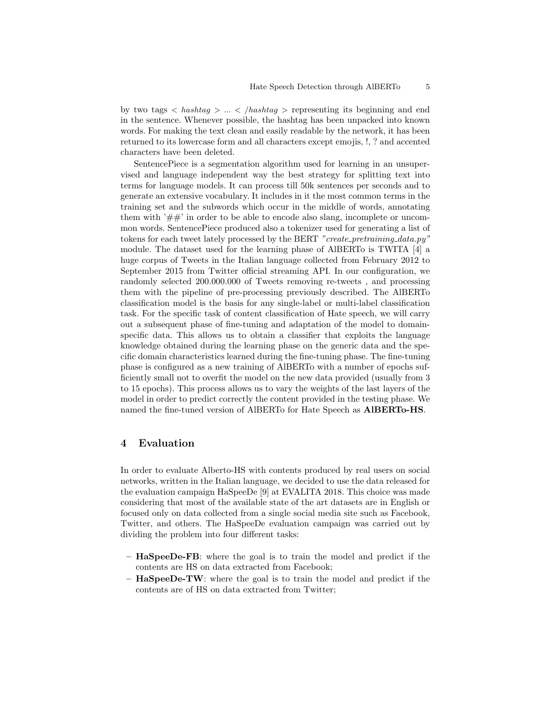by two tags  $\langle$  hashtag  $\rangle$  ...  $\langle$  hashtag  $\rangle$  representing its beginning and end in the sentence. Whenever possible, the hashtag has been unpacked into known words. For making the text clean and easily readable by the network, it has been returned to its lowercase form and all characters except emojis, !, ? and accented characters have been deleted.

SentencePiece is a segmentation algorithm used for learning in an unsupervised and language independent way the best strategy for splitting text into terms for language models. It can process till 50k sentences per seconds and to generate an extensive vocabulary. It includes in it the most common terms in the training set and the subwords which occur in the middle of words, annotating them with  $'##'$  in order to be able to encode also slang, incomplete or uncommon words. SentencePiece produced also a tokenizer used for generating a list of tokens for each tweet lately processed by the BERT "create\_pretraining\_data.py" module. The dataset used for the learning phase of AlBERTo is TWITA [\[4\]](#page-10-6) a huge corpus of Tweets in the Italian language collected from February 2012 to September 2015 from Twitter official streaming API. In our configuration, we randomly selected 200.000.000 of Tweets removing re-tweets , and processing them with the pipeline of pre-processing previously described. The AlBERTo classification model is the basis for any single-label or multi-label classification task. For the specific task of content classification of Hate speech, we will carry out a subsequent phase of fine-tuning and adaptation of the model to domainspecific data. This allows us to obtain a classifier that exploits the language knowledge obtained during the learning phase on the generic data and the specific domain characteristics learned during the fine-tuning phase. The fine-tuning phase is configured as a new training of AlBERTo with a number of epochs sufficiently small not to overfit the model on the new data provided (usually from 3 to 15 epochs). This process allows us to vary the weights of the last layers of the model in order to predict correctly the content provided in the testing phase. We named the fine-tuned version of AlBERTo for Hate Speech as AlBERTo-HS.

#### 4 Evaluation

In order to evaluate Alberto-HS with contents produced by real users on social networks, written in the Italian language, we decided to use the data released for the evaluation campaign HaSpeeDe [\[9\]](#page-10-1) at EVALITA 2018. This choice was made considering that most of the available state of the art datasets are in English or focused only on data collected from a single social media site such as Facebook, Twitter, and others. The HaSpeeDe evaluation campaign was carried out by dividing the problem into four different tasks:

- HaSpeeDe-FB: where the goal is to train the model and predict if the contents are HS on data extracted from Facebook;
- HaSpeeDe-TW: where the goal is to train the model and predict if the contents are of HS on data extracted from Twitter;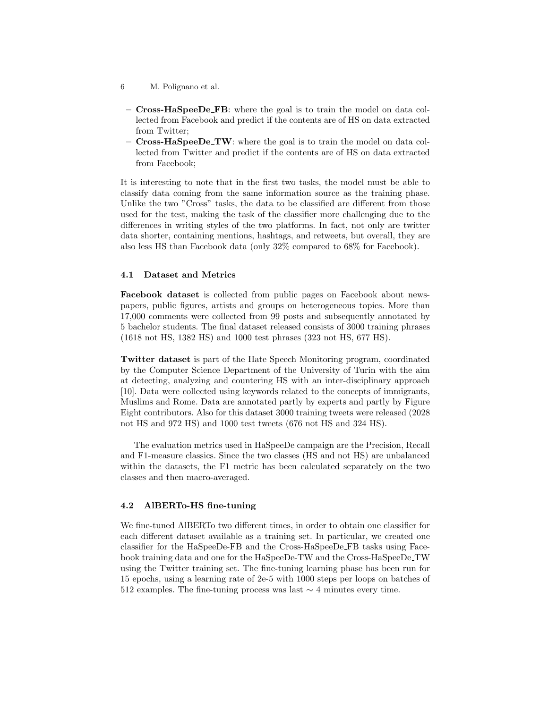- 6 M. Polignano et al.
- Cross-HaSpeeDe FB: where the goal is to train the model on data collected from Facebook and predict if the contents are of HS on data extracted from Twitter;
- $-$  Cross-HaSpeeDe\_TW: where the goal is to train the model on data collected from Twitter and predict if the contents are of HS on data extracted from Facebook;

It is interesting to note that in the first two tasks, the model must be able to classify data coming from the same information source as the training phase. Unlike the two "Cross" tasks, the data to be classified are different from those used for the test, making the task of the classifier more challenging due to the differences in writing styles of the two platforms. In fact, not only are twitter data shorter, containing mentions, hashtags, and retweets, but overall, they are also less HS than Facebook data (only 32% compared to 68% for Facebook).

#### 4.1 Dataset and Metrics

Facebook dataset is collected from public pages on Facebook about newspapers, public figures, artists and groups on heterogeneous topics. More than 17,000 comments were collected from 99 posts and subsequently annotated by 5 bachelor students. The final dataset released consists of 3000 training phrases (1618 not HS, 1382 HS) and 1000 test phrases (323 not HS, 677 HS).

Twitter dataset is part of the Hate Speech Monitoring program, coordinated by the Computer Science Department of the University of Turin with the aim at detecting, analyzing and countering HS with an inter-disciplinary approach [\[10\]](#page-10-7). Data were collected using keywords related to the concepts of immigrants, Muslims and Rome. Data are annotated partly by experts and partly by Figure Eight contributors. Also for this dataset 3000 training tweets were released (2028 not HS and 972 HS) and 1000 test tweets (676 not HS and 324 HS).

The evaluation metrics used in HaSpeeDe campaign are the Precision, Recall and F1-measure classics. Since the two classes (HS and not HS) are unbalanced within the datasets, the F1 metric has been calculated separately on the two classes and then macro-averaged.

#### 4.2 AlBERTo-HS fine-tuning

We fine-tuned AlBERTo two different times, in order to obtain one classifier for each different dataset available as a training set. In particular, we created one classifier for the HaSpeeDe-FB and the Cross-HaSpeeDe FB tasks using Facebook training data and one for the HaSpeeDe-TW and the Cross-HaSpeeDe TW using the Twitter training set. The fine-tuning learning phase has been run for 15 epochs, using a learning rate of 2e-5 with 1000 steps per loops on batches of 512 examples. The fine-tuning process was last  $\sim$  4 minutes every time.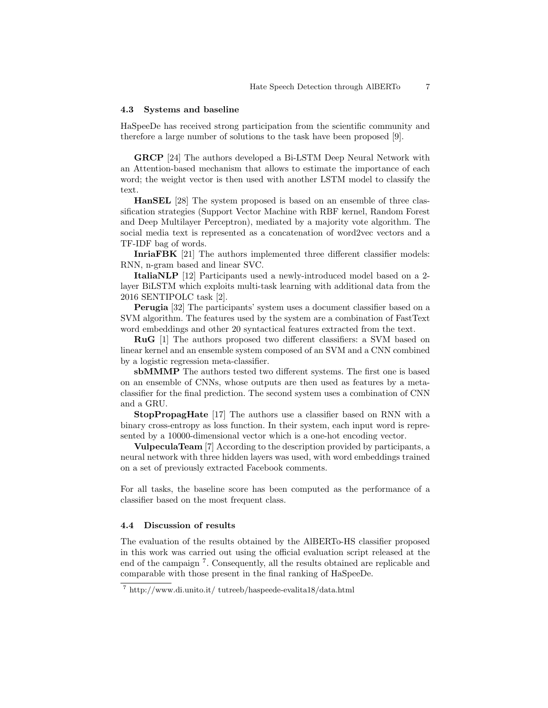#### 4.3 Systems and baseline

HaSpeeDe has received strong participation from the scientific community and therefore a large number of solutions to the task have been proposed [\[9\]](#page-10-1).

GRCP [\[24\]](#page-11-10) The authors developed a Bi-LSTM Deep Neural Network with an Attention-based mechanism that allows to estimate the importance of each word; the weight vector is then used with another LSTM model to classify the text.

HanSEL [\[28\]](#page-12-10) The system proposed is based on an ensemble of three classification strategies (Support Vector Machine with RBF kernel, Random Forest and Deep Multilayer Perceptron), mediated by a majority vote algorithm. The social media text is represented as a concatenation of word2vec vectors and a TF-IDF bag of words.

InriaFBK [\[21\]](#page-11-11) The authors implemented three different classifier models: RNN, n-gram based and linear SVC.

ItaliaNLP [\[12\]](#page-11-12) Participants used a newly-introduced model based on a 2 layer BiLSTM which exploits multi-task learning with additional data from the 2016 SENTIPOLC task [\[2\]](#page-10-8).

Perugia [\[32\]](#page-12-11) The participants' system uses a document classifier based on a SVM algorithm. The features used by the system are a combination of FastText word embeddings and other 20 syntactical features extracted from the text.

RuG [\[1\]](#page-10-9) The authors proposed two different classifiers: a SVM based on linear kernel and an ensemble system composed of an SVM and a CNN combined by a logistic regression meta-classifier.

sbMMMP The authors tested two different systems. The first one is based on an ensemble of CNNs, whose outputs are then used as features by a metaclassifier for the final prediction. The second system uses a combination of CNN and a GRU.

StopPropagHate [\[17\]](#page-11-13) The authors use a classifier based on RNN with a binary cross-entropy as loss function. In their system, each input word is represented by a 10000-dimensional vector which is a one-hot encoding vector.

VulpeculaTeam [\[7\]](#page-10-10) According to the description provided by participants, a neural network with three hidden layers was used, with word embeddings trained on a set of previously extracted Facebook comments.

For all tasks, the baseline score has been computed as the performance of a classifier based on the most frequent class.

#### 4.4 Discussion of results

The evaluation of the results obtained by the AlBERTo-HS classifier proposed in this work was carried out using the official evaluation script released at the end of the campaign [7](#page-6-0) . Consequently, all the results obtained are replicable and comparable with those present in the final ranking of HaSpeeDe.

<span id="page-6-0"></span><sup>7</sup> http://www.di.unito.it/ tutreeb/haspeede-evalita18/data.html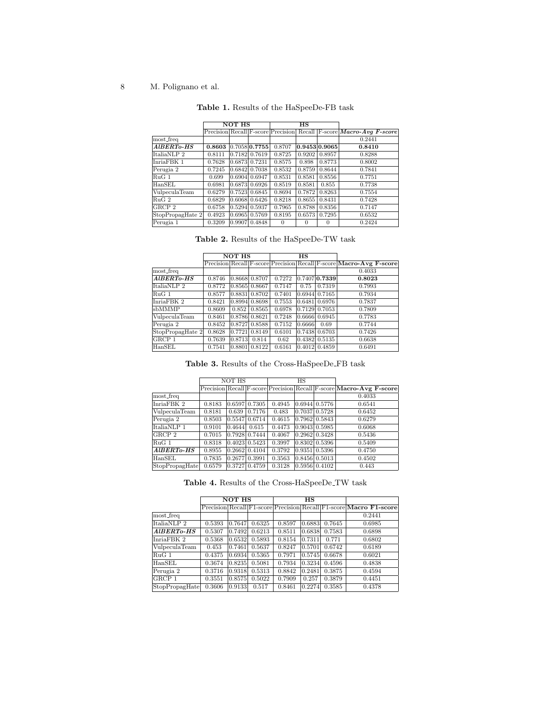<span id="page-7-0"></span>

| Table 1. Results of the HaSpeeDe-FB task |  |  |  |  |  |  |  |  |
|------------------------------------------|--|--|--|--|--|--|--|--|
|------------------------------------------|--|--|--|--|--|--|--|--|

|                              |        | <b>NOT HS</b> |                      |          | $_{\rm HS}$   |          |                                                                     |
|------------------------------|--------|---------------|----------------------|----------|---------------|----------|---------------------------------------------------------------------|
|                              |        |               |                      |          |               |          | Precision Recall F-score Precision Recall F-score Macro-Avg F-score |
| most_freq                    |        |               |                      |          |               |          | 0.2441                                                              |
| $A$ <sub>IBERTo</sub> - $HS$ | 0.8603 |               | $0.7058$ 0.7755      | 0.8707   | 0.9453 0.9065 |          | 0.8410                                                              |
| ItaliaNLP 2                  | 0.8111 |               | $0.7182$ 0.7619      | 0.8725   | 0.9202        | 0.8957   | 0.8288                                                              |
| InriaFBK 1                   | 0.7628 |               | $0.6873$ 0.7231      | 0.8575   | 0.898         | 0.8773   | 0.8002                                                              |
| Perugia 2                    | 0.7245 |               | $0.6842 \mid 0.7038$ | 0.8532   | 0.8759        | 0.8644   | 0.7841                                                              |
| RuG 1                        | 0.699  |               | 0.6904 0.6947        | 0.8531   | 0.8581        | 0.8556   | 0.7751                                                              |
| HanSEL                       | 0.6981 |               | $0.6873$ 0.6926      | 0.8519   | 0.8581        | 0.855    | 0.7738                                                              |
| VulpeculaTeam                | 0.6279 |               | $0.7523 \mid 0.6845$ | 0.8694   | 0.7872        | 0.8263   | 0.7554                                                              |
| RuG <sub>2</sub>             | 0.6829 |               | $0.6068$ 0.6426      | 0.8218   | 0.8655        | 0.8431   | 0.7428                                                              |
| $ {\rm GRCP} \rangle$ 2      | 0.6758 |               | $0.5294$ 0.5937      | 0.7965   | 0.8788        | 0.8356   | 0.7147                                                              |
| StopPropagHate 2             | 0.4923 |               | $0.6965 \mid 0.5769$ | 0.8195   | 0.6573        | 0.7295   | 0.6532                                                              |
| Perugia 1                    | 0.3209 |               | $0.9907$ 0.4848      | $\Omega$ | $\Omega$      | $\Omega$ | 0.2424                                                              |

<span id="page-7-1"></span>Table 2. Results of the HaSpeeDe-TW task

|                  | NOT HS |        |                     |        | $_{\rm HS}$ |                      |                                                                            |
|------------------|--------|--------|---------------------|--------|-------------|----------------------|----------------------------------------------------------------------------|
|                  |        |        |                     |        |             |                      | Precision Recall F-score Precision Recall F-score <b>Macro-Avg F-score</b> |
| most_freq        |        |        |                     |        |             |                      | 0.4033                                                                     |
| AIBERTo-HS       | 0.8746 |        | 0.8668 0.8707       | 0.7272 |             | $0.7407$ $0.7339$    | 0.8023                                                                     |
| ItaliaNLP 2      | 0.8772 |        | 0.8565 0.8667       | 0.7147 | 0.75        | 0.7319               | 0.7993                                                                     |
| $RuG_1$          | 0.8577 |        | $0.8831$ $0.8702$   | 0.7401 |             | $0.6944 \, 0.7165$   | 0.7934                                                                     |
| InriaFBK 2       | 0.8421 |        | $0.8994$ 0.8698     | 0.7553 |             | 0.6481 0.6976        | 0.7837                                                                     |
| sbMMMP           | 0.8609 | 0.852  | 0.8565              | 0.6978 | 0.7129      | 0.7053               | 0.7809                                                                     |
| VulpeculaTeam    | 0.8461 |        | 0.8786 0.8621       | 0.7248 |             | $0.6666$ 0.6945      | 0.7783                                                                     |
| Perugia 2        | 0.8452 |        | $0.8727$ 0.8588     | 0.7152 | 0.6666      | 0.69                 | 0.7744                                                                     |
| StopPropagHate 2 | 0.8628 |        | 0.7721 0.8149       | 0.6101 |             | $0.7438 \mid 0.6703$ | 0.7426                                                                     |
| GRCP 1           | 0.7639 | 0.8713 | 0.814               | 0.62   |             | $0.4382 \mid 0.5135$ | 0.6638                                                                     |
| HanSEL           | 0.7541 |        | $ 0.8801 $ $0.8122$ | 0.6161 |             | $0.4012$ 0.4859      | 0.6491                                                                     |

Table 3. Results of the Cross-HaSpeeDe FB task

|                |        | NOT HS |               |        | $\overline{\text{HS}}$ |                      |                                                                            |
|----------------|--------|--------|---------------|--------|------------------------|----------------------|----------------------------------------------------------------------------|
|                |        |        |               |        |                        |                      | Precision Recall F-score Precision Recall F-score <b>Macro-Avg F-score</b> |
| most_freq      |        |        |               |        |                        |                      | 0.4033                                                                     |
| InriaFBK 2     | 0.8183 | 0.6597 | 0.7305        | 0.4945 |                        | $0.6944 \, 0.5776$   | 0.6541                                                                     |
| VulpeculaTeam  | 0.8181 | 0.639  | 0.7176        | 0.483  |                        | $0.7037 \mid 0.5728$ | 0.6452                                                                     |
| Perugia 2      | 0.8503 |        | 0.5547 0.6714 | 0.4615 |                        | 0.7962 0.5843        | 0.6279                                                                     |
| ItaliaNLP 1    | 0.9101 | 0.4644 | 0.615         | 0.4473 |                        | 0.9043 0.5985        | 0.6068                                                                     |
| GRCP 2         | 0.7015 | 0.7928 | 0.7444        | 0.4067 |                        | 0.2962 0.3428        | 0.5436                                                                     |
| $RuG_1$        | 0.8318 | 0.4023 | 0.5423        | 0.3997 | 0.8302                 | 0.5396               | 0.5409                                                                     |
| AlBERTo-HS     | 0.8955 | 0.2662 | 0.4104        | 0.3792 | 0.9351                 | 0.5396               | 0.4750                                                                     |
| HanSEL         | 0.7835 | 0.2677 | 0.3991        | 0.3563 |                        | 0.8456 0.5013        | 0.4502                                                                     |
| StopPropagHate | 0.6579 | 0.3727 | 0.4759        | 0.3128 |                        | 0.5956 0.4102        | 0.443                                                                      |

Table 4. Results of the Cross-HaSpeeDe TW task

|                |        | <b>NOT HS</b> |        |        | <b>HS</b> |        |                                                                    |
|----------------|--------|---------------|--------|--------|-----------|--------|--------------------------------------------------------------------|
|                |        |               |        |        |           |        | Precision Recall F1-score Precision Recall F1-score Macro F1-score |
| most_freq      |        |               |        |        |           |        | 0.2441                                                             |
| ItaliaNLP 2    | 0.5393 | 0.7647        | 0.6325 | 0.8597 | 0.6883    | 0.7645 | 0.6985                                                             |
| AlBERTo-HS     | 0.5307 | 0.7492        | 0.6213 | 0.8511 | 0.6838    | 0.7583 | 0.6898                                                             |
| InriaFBK 2     | 0.5368 | 0.6532        | 0.5893 | 0.8154 | 0.7311    | 0.771  | 0.6802                                                             |
| VulpeculaTeam  | 0.453  | 0.7461        | 0.5637 | 0.8247 | 0.5701    | 0.6742 | 0.6189                                                             |
| $RuG_1$        | 0.4375 | 0.6934        | 0.5365 | 0.7971 | 0.5745    | 0.6678 | 0.6021                                                             |
| HanSEL         | 0.3674 | 0.8235        | 0.5081 | 0.7934 | 0.3234    | 0.4596 | 0.4838                                                             |
| Perugia 2      | 0.3716 | 0.9318        | 0.5313 | 0.8842 | 0.2481    | 0.3875 | 0.4594                                                             |
| GRCP 1         | 0.3551 | 0.8575        | 0.5022 | 0.7909 | 0.257     | 0.3879 | 0.4451                                                             |
| StopPropagHate | 0.3606 | 0.9133        | 0.517  | 0.8461 | 0.2274    | 0.3585 | 0.4378                                                             |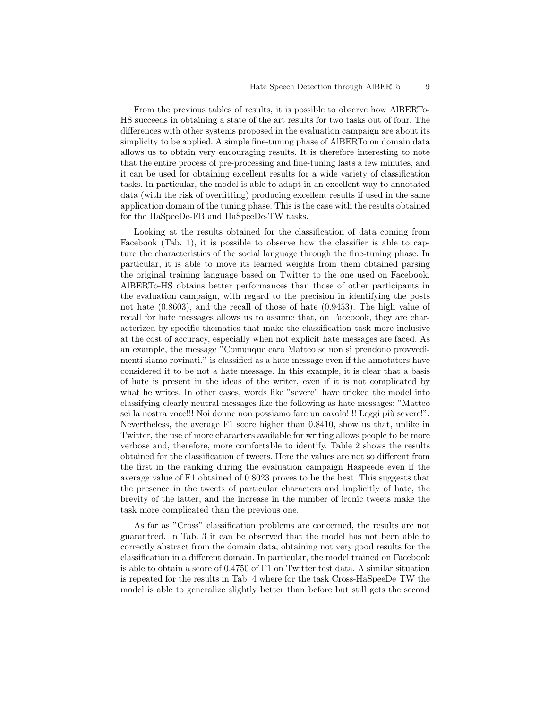From the previous tables of results, it is possible to observe how AlBERTo-HS succeeds in obtaining a state of the art results for two tasks out of four. The differences with other systems proposed in the evaluation campaign are about its simplicity to be applied. A simple fine-tuning phase of AlBERTo on domain data allows us to obtain very encouraging results. It is therefore interesting to note that the entire process of pre-processing and fine-tuning lasts a few minutes, and it can be used for obtaining excellent results for a wide variety of classification tasks. In particular, the model is able to adapt in an excellent way to annotated data (with the risk of overfitting) producing excellent results if used in the same application domain of the tuning phase. This is the case with the results obtained for the HaSpeeDe-FB and HaSpeeDe-TW tasks.

Looking at the results obtained for the classification of data coming from Facebook (Tab. [1\)](#page-7-0), it is possible to observe how the classifier is able to capture the characteristics of the social language through the fine-tuning phase. In particular, it is able to move its learned weights from them obtained parsing the original training language based on Twitter to the one used on Facebook. AlBERTo-HS obtains better performances than those of other participants in the evaluation campaign, with regard to the precision in identifying the posts not hate (0.8603), and the recall of those of hate (0.9453). The high value of recall for hate messages allows us to assume that, on Facebook, they are characterized by specific thematics that make the classification task more inclusive at the cost of accuracy, especially when not explicit hate messages are faced. As an example, the message "Comunque caro Matteo se non si prendono provvedimenti siamo rovinati." is classified as a hate message even if the annotators have considered it to be not a hate message. In this example, it is clear that a basis of hate is present in the ideas of the writer, even if it is not complicated by what he writes. In other cases, words like "severe" have tricked the model into classifying clearly neutral messages like the following as hate messages: "Matteo sei la nostra voce!!! Noi donne non possiamo fare un cavolo! !! Leggi più severe!". Nevertheless, the average F1 score higher than 0.8410, show us that, unlike in Twitter, the use of more characters available for writing allows people to be more verbose and, therefore, more comfortable to identify. Table [2](#page-7-1) shows the results obtained for the classification of tweets. Here the values are not so different from the first in the ranking during the evaluation campaign Haspeede even if the average value of F1 obtained of 0.8023 proves to be the best. This suggests that the presence in the tweets of particular characters and implicitly of hate, the brevity of the latter, and the increase in the number of ironic tweets make the task more complicated than the previous one.

As far as "Cross" classification problems are concerned, the results are not guaranteed. In Tab. 3 it can be observed that the model has not been able to correctly abstract from the domain data, obtaining not very good results for the classification in a different domain. In particular, the model trained on Facebook is able to obtain a score of 0.4750 of F1 on Twitter test data. A similar situation is repeated for the results in Tab. 4 where for the task Cross-HaSpeeDe TW the model is able to generalize slightly better than before but still gets the second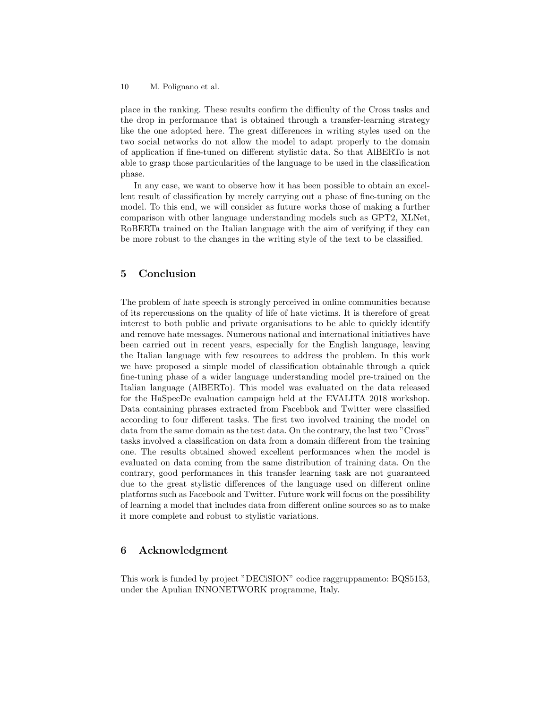place in the ranking. These results confirm the difficulty of the Cross tasks and the drop in performance that is obtained through a transfer-learning strategy like the one adopted here. The great differences in writing styles used on the two social networks do not allow the model to adapt properly to the domain of application if fine-tuned on different stylistic data. So that AlBERTo is not able to grasp those particularities of the language to be used in the classification phase.

In any case, we want to observe how it has been possible to obtain an excellent result of classification by merely carrying out a phase of fine-tuning on the model. To this end, we will consider as future works those of making a further comparison with other language understanding models such as GPT2, XLNet, RoBERTa trained on the Italian language with the aim of verifying if they can be more robust to the changes in the writing style of the text to be classified.

## 5 Conclusion

The problem of hate speech is strongly perceived in online communities because of its repercussions on the quality of life of hate victims. It is therefore of great interest to both public and private organisations to be able to quickly identify and remove hate messages. Numerous national and international initiatives have been carried out in recent years, especially for the English language, leaving the Italian language with few resources to address the problem. In this work we have proposed a simple model of classification obtainable through a quick fine-tuning phase of a wider language understanding model pre-trained on the Italian language (AlBERTo). This model was evaluated on the data released for the HaSpeeDe evaluation campaign held at the EVALITA 2018 workshop. Data containing phrases extracted from Facebbok and Twitter were classified according to four different tasks. The first two involved training the model on data from the same domain as the test data. On the contrary, the last two "Cross" tasks involved a classification on data from a domain different from the training one. The results obtained showed excellent performances when the model is evaluated on data coming from the same distribution of training data. On the contrary, good performances in this transfer learning task are not guaranteed due to the great stylistic differences of the language used on different online platforms such as Facebook and Twitter. Future work will focus on the possibility of learning a model that includes data from different online sources so as to make it more complete and robust to stylistic variations.

# 6 Acknowledgment

This work is funded by project "DECiSION" codice raggruppamento: BQS5153, under the Apulian INNONETWORK programme, Italy.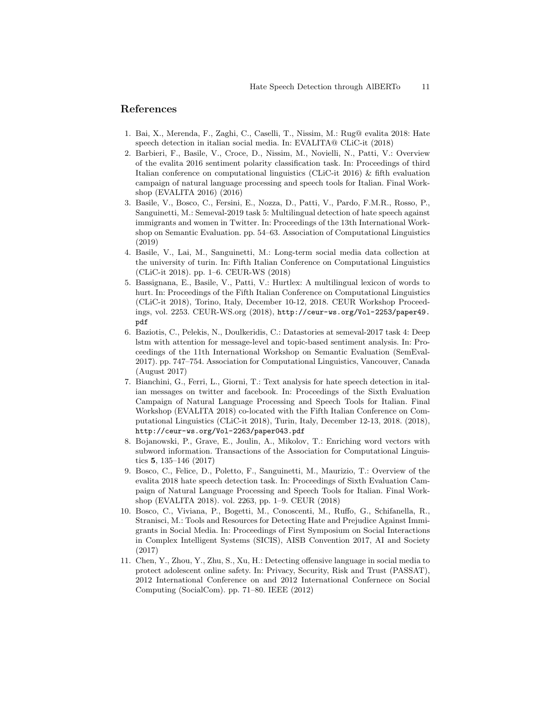### References

- <span id="page-10-9"></span>1. Bai, X., Merenda, F., Zaghi, C., Caselli, T., Nissim, M.: Rug@ evalita 2018: Hate speech detection in italian social media. In: EVALITA@ CLiC-it (2018)
- <span id="page-10-8"></span>2. Barbieri, F., Basile, V., Croce, D., Nissim, M., Novielli, N., Patti, V.: Overview of the evalita 2016 sentiment polarity classification task. In: Proceedings of third Italian conference on computational linguistics (CLiC-it 2016) & fifth evaluation campaign of natural language processing and speech tools for Italian. Final Workshop (EVALITA 2016) (2016)
- <span id="page-10-0"></span>3. Basile, V., Bosco, C., Fersini, E., Nozza, D., Patti, V., Pardo, F.M.R., Rosso, P., Sanguinetti, M.: Semeval-2019 task 5: Multilingual detection of hate speech against immigrants and women in Twitter. In: Proceedings of the 13th International Workshop on Semantic Evaluation. pp. 54–63. Association of Computational Linguistics (2019)
- <span id="page-10-6"></span>4. Basile, V., Lai, M., Sanguinetti, M.: Long-term social media data collection at the university of turin. In: Fifth Italian Conference on Computational Linguistics (CLiC-it 2018). pp. 1–6. CEUR-WS (2018)
- <span id="page-10-2"></span>5. Bassignana, E., Basile, V., Patti, V.: Hurtlex: A multilingual lexicon of words to hurt. In: Proceedings of the Fifth Italian Conference on Computational Linguistics (CLiC-it 2018), Torino, Italy, December 10-12, 2018. CEUR Workshop Proceedings, vol. 2253. CEUR-WS.org (2018), [http://ceur-ws.org/Vol-2253/paper49.](http://ceur-ws.org/Vol-2253/paper49.pdf) [pdf](http://ceur-ws.org/Vol-2253/paper49.pdf)
- <span id="page-10-5"></span>6. Baziotis, C., Pelekis, N., Doulkeridis, C.: Datastories at semeval-2017 task 4: Deep lstm with attention for message-level and topic-based sentiment analysis. In: Proceedings of the 11th International Workshop on Semantic Evaluation (SemEval-2017). pp. 747–754. Association for Computational Linguistics, Vancouver, Canada (August 2017)
- <span id="page-10-10"></span>7. Bianchini, G., Ferri, L., Giorni, T.: Text analysis for hate speech detection in italian messages on twitter and facebook. In: Proceedings of the Sixth Evaluation Campaign of Natural Language Processing and Speech Tools for Italian. Final Workshop (EVALITA 2018) co-located with the Fifth Italian Conference on Computational Linguistics (CLiC-it 2018), Turin, Italy, December 12-13, 2018. (2018), <http://ceur-ws.org/Vol-2263/paper043.pdf>
- <span id="page-10-4"></span>8. Bojanowski, P., Grave, E., Joulin, A., Mikolov, T.: Enriching word vectors with subword information. Transactions of the Association for Computational Linguistics 5, 135–146 (2017)
- <span id="page-10-1"></span>9. Bosco, C., Felice, D., Poletto, F., Sanguinetti, M., Maurizio, T.: Overview of the evalita 2018 hate speech detection task. In: Proceedings of Sixth Evaluation Campaign of Natural Language Processing and Speech Tools for Italian. Final Workshop (EVALITA 2018). vol. 2263, pp. 1–9. CEUR (2018)
- <span id="page-10-7"></span>10. Bosco, C., Viviana, P., Bogetti, M., Conoscenti, M., Ruffo, G., Schifanella, R., Stranisci, M.: Tools and Resources for Detecting Hate and Prejudice Against Immigrants in Social Media. In: Proceedings of First Symposium on Social Interactions in Complex Intelligent Systems (SICIS), AISB Convention 2017, AI and Society (2017)
- <span id="page-10-3"></span>11. Chen, Y., Zhou, Y., Zhu, S., Xu, H.: Detecting offensive language in social media to protect adolescent online safety. In: Privacy, Security, Risk and Trust (PASSAT), 2012 International Conference on and 2012 International Confernece on Social Computing (SocialCom). pp. 71–80. IEEE (2012)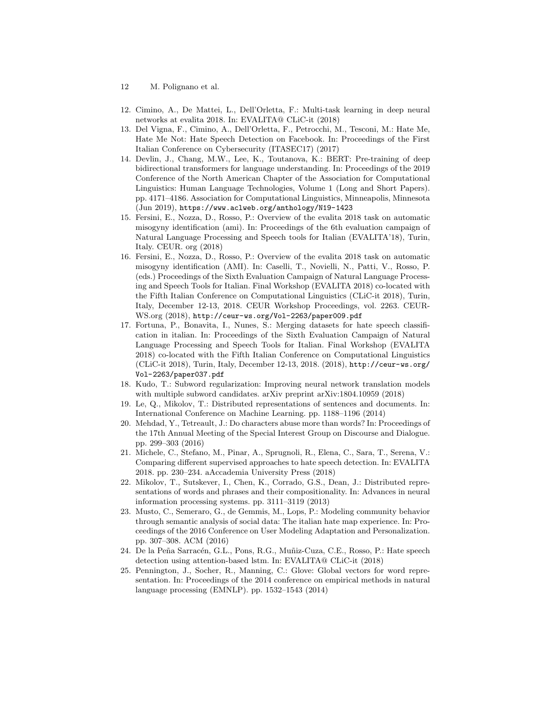- 12 M. Polignano et al.
- <span id="page-11-12"></span>12. Cimino, A., De Mattei, L., Dell'Orletta, F.: Multi-task learning in deep neural networks at evalita 2018. In: EVALITA@ CLiC-it (2018)
- <span id="page-11-3"></span>13. Del Vigna, F., Cimino, A., Dell'Orletta, F., Petrocchi, M., Tesconi, M.: Hate Me, Hate Me Not: Hate Speech Detection on Facebook. In: Proceedings of the First Italian Conference on Cybersecurity (ITASEC17) (2017)
- <span id="page-11-8"></span>14. Devlin, J., Chang, M.W., Lee, K., Toutanova, K.: BERT: Pre-training of deep bidirectional transformers for language understanding. In: Proceedings of the 2019 Conference of the North American Chapter of the Association for Computational Linguistics: Human Language Technologies, Volume 1 (Long and Short Papers). pp. 4171–4186. Association for Computational Linguistics, Minneapolis, Minnesota (Jun 2019), <https://www.aclweb.org/anthology/N19-1423>
- <span id="page-11-1"></span>15. Fersini, E., Nozza, D., Rosso, P.: Overview of the evalita 2018 task on automatic misogyny identification (ami). In: Proceedings of the 6th evaluation campaign of Natural Language Processing and Speech tools for Italian (EVALITA'18), Turin, Italy. CEUR. org (2018)
- <span id="page-11-2"></span>16. Fersini, E., Nozza, D., Rosso, P.: Overview of the evalita 2018 task on automatic misogyny identification (AMI). In: Caselli, T., Novielli, N., Patti, V., Rosso, P. (eds.) Proceedings of the Sixth Evaluation Campaign of Natural Language Processing and Speech Tools for Italian. Final Workshop (EVALITA 2018) co-located with the Fifth Italian Conference on Computational Linguistics (CLiC-it 2018), Turin, Italy, December 12-13, 2018. CEUR Workshop Proceedings, vol. 2263. CEUR-WS.org (2018), <http://ceur-ws.org/Vol-2263/paper009.pdf>
- <span id="page-11-13"></span>17. Fortuna, P., Bonavita, I., Nunes, S.: Merging datasets for hate speech classification in italian. In: Proceedings of the Sixth Evaluation Campaign of Natural Language Processing and Speech Tools for Italian. Final Workshop (EVALITA 2018) co-located with the Fifth Italian Conference on Computational Linguistics (CLiC-it 2018), Turin, Italy, December 12-13, 2018. (2018), [http://ceur-ws.org/](http://ceur-ws.org/Vol-2263/paper037.pdf) [Vol-2263/paper037.pdf](http://ceur-ws.org/Vol-2263/paper037.pdf)
- <span id="page-11-9"></span>18. Kudo, T.: Subword regularization: Improving neural network translation models with multiple subword candidates. arXiv preprint arXiv:1804.10959 (2018)
- <span id="page-11-4"></span>19. Le, Q., Mikolov, T.: Distributed representations of sentences and documents. In: International Conference on Machine Learning. pp. 1188–1196 (2014)
- <span id="page-11-5"></span>20. Mehdad, Y., Tetreault, J.: Do characters abuse more than words? In: Proceedings of the 17th Annual Meeting of the Special Interest Group on Discourse and Dialogue. pp. 299–303 (2016)
- <span id="page-11-11"></span>21. Michele, C., Stefano, M., Pinar, A., Sprugnoli, R., Elena, C., Sara, T., Serena, V.: Comparing different supervised approaches to hate speech detection. In: EVALITA 2018. pp. 230–234. aAccademia University Press (2018)
- <span id="page-11-6"></span>22. Mikolov, T., Sutskever, I., Chen, K., Corrado, G.S., Dean, J.: Distributed representations of words and phrases and their compositionality. In: Advances in neural information processing systems. pp. 3111–3119 (2013)
- <span id="page-11-0"></span>23. Musto, C., Semeraro, G., de Gemmis, M., Lops, P.: Modeling community behavior through semantic analysis of social data: The italian hate map experience. In: Proceedings of the 2016 Conference on User Modeling Adaptation and Personalization. pp. 307–308. ACM (2016)
- <span id="page-11-10"></span>24. De la Peña Sarracén, G.L., Pons, R.G., Muñiz-Cuza, C.E., Rosso, P.: Hate speech detection using attention-based lstm. In: EVALITA@ CLiC-it (2018)
- <span id="page-11-7"></span>25. Pennington, J., Socher, R., Manning, C.: Glove: Global vectors for word representation. In: Proceedings of the 2014 conference on empirical methods in natural language processing (EMNLP). pp. 1532–1543 (2014)